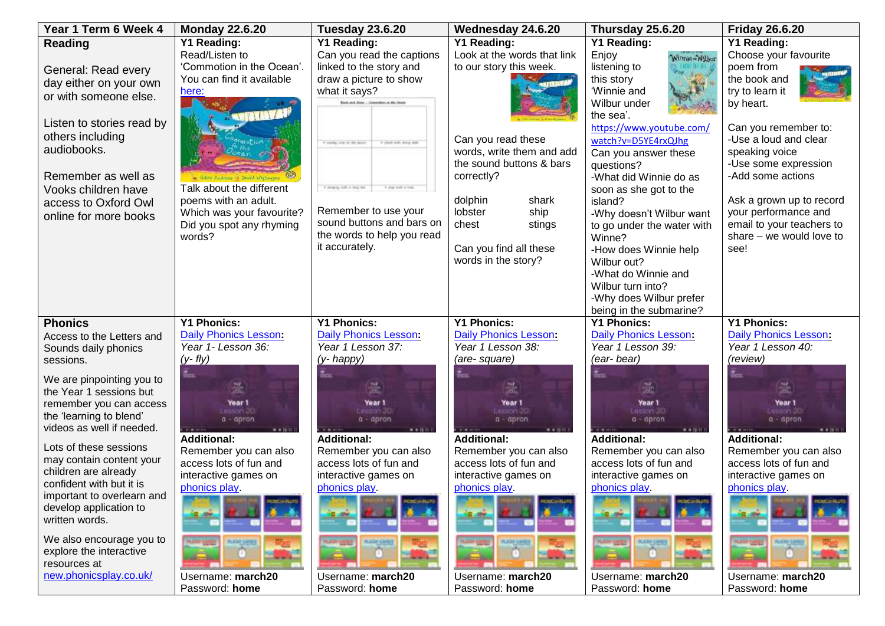| Year 1 Term 6 Week 4              | <b>Monday 22.6.20</b>               | <b>Tuesday 23.6.20</b>                            | Wednesday 24.6.20                               | Thursday 25.6.20                            | <b>Friday 26.6.20</b>                         |
|-----------------------------------|-------------------------------------|---------------------------------------------------|-------------------------------------------------|---------------------------------------------|-----------------------------------------------|
| Reading                           | <b>Y1 Reading:</b>                  | Y1 Reading:                                       | <b>Y1 Reading:</b>                              | <b>Y1 Reading:</b>                          | Y1 Reading:                                   |
|                                   | Read/Listen to                      | Can you read the captions                         | Look at the words that link                     | Enjoy<br>Wirmie-William                     | Choose your favourite                         |
| General: Read every               | 'Commotion in the Ocean'.           | linked to the story and                           | to our story this week.                         | listening to                                | poem from                                     |
| day either on your own            | You can find it available           | draw a picture to show                            |                                                 | this story                                  | the book and                                  |
| or with someone else.             | here:                               | what it says?                                     |                                                 | 'Winnie and                                 | try to learn it                               |
|                                   |                                     | <b>Bank and Steel .: Limmedant at the Great</b>   |                                                 | Wilbur under                                | by heart.                                     |
| Listen to stories read by         |                                     |                                                   |                                                 | the sea'.                                   |                                               |
| others including                  |                                     |                                                   |                                                 | https://www.youtube.com/                    | Can you remember to:<br>-Use a loud and clear |
| audiobooks.                       |                                     | Foreign and on the dead<br>F short outs show both | Can you read these<br>words, write them and add | watch?v=D5YE4rxQJhg                         | speaking voice                                |
|                                   |                                     |                                                   | the sound buttons & bars                        | Can you answer these<br>questions?          | -Use some expression                          |
| Remember as well as               |                                     |                                                   | correctly?                                      | -What did Winnie do as                      | -Add some actions                             |
| Vooks children have               | Talk about the different            | A strain, with a long his<br>1 Mar 6-R o 1-N      |                                                 | soon as she got to the                      |                                               |
| access to Oxford Owl              | poems with an adult.                |                                                   | dolphin<br>shark                                | island?                                     | Ask a grown up to record                      |
| online for more books             | Which was your favourite?           | Remember to use your                              | lobster<br>ship                                 | -Why doesn't Wilbur want                    | your performance and                          |
|                                   | Did you spot any rhyming            | sound buttons and bars on                         | chest<br>stings                                 | to go under the water with                  | email to your teachers to                     |
|                                   | words?                              | the words to help you read                        |                                                 | Winne?                                      | share – we would love to                      |
|                                   |                                     | it accurately.                                    | Can you find all these                          | -How does Winnie help                       | see!                                          |
|                                   |                                     |                                                   | words in the story?                             | Wilbur out?                                 |                                               |
|                                   |                                     |                                                   |                                                 | -What do Winnie and                         |                                               |
|                                   |                                     |                                                   |                                                 | Wilbur turn into?                           |                                               |
|                                   |                                     |                                                   |                                                 | -Why does Wilbur prefer                     |                                               |
|                                   | <b>Y1 Phonics:</b>                  | <b>Y1 Phonics:</b>                                | <b>Y1 Phonics:</b>                              | being in the submarine?                     | <b>Y1 Phonics:</b>                            |
| <b>Phonics</b>                    | Daily Phonics Lesson:               | Daily Phonics Lesson:                             | Daily Phonics Lesson:                           | <b>Y1 Phonics:</b><br>Daily Phonics Lesson: | Daily Phonics Lesson:                         |
| Access to the Letters and         | Year 1- Lesson 36:                  | Year 1 Lesson 37:                                 | Year 1 Lesson 38:                               | Year 1 Lesson 39:                           | Year 1 Lesson 40:                             |
| Sounds daily phonics<br>sessions. | $(y - fly)$                         | (y- happy)                                        | (are-square)                                    | (ear-bear)                                  | (review)                                      |
|                                   |                                     |                                                   |                                                 |                                             |                                               |
| We are pinpointing you to         |                                     |                                                   |                                                 |                                             |                                               |
| the Year 1 sessions but           |                                     |                                                   | ð.                                              |                                             | ð.                                            |
| remember you can access           | Year 1<br>Lesson 20                 | Year 1<br>Lesson 20                               | Year 1<br>esson 20                              | Year 1<br>esson 20                          | Year 1<br>Lesson 20                           |
| the 'learning to blend'           | $a - a$ pron                        | $a - a$ pron                                      | $a - a$ pron                                    | $a - a$ pron                                | $a - a$ pron                                  |
| videos as well if needed.         | <b>Additional:</b>                  | <b>Additional:</b>                                | <b>Additional:</b>                              | <b>Additional:</b>                          | <b>Additional:</b>                            |
| Lots of these sessions            | Remember you can also               | Remember you can also                             | Remember you can also                           | Remember you can also                       | Remember you can also                         |
| may contain content your          | access lots of fun and              | access lots of fun and                            | access lots of fun and                          | access lots of fun and                      | access lots of fun and                        |
| children are already              | interactive games on                | interactive games on                              | interactive games on                            | interactive games on                        | interactive games on                          |
| confident with but it is          | phonics play.                       | phonics play.                                     | phonics play.                                   | phonics play.                               | phonics play.                                 |
| important to overlearn and        |                                     |                                                   |                                                 |                                             |                                               |
| develop application to            |                                     |                                                   |                                                 |                                             |                                               |
| written words.                    |                                     |                                                   |                                                 |                                             |                                               |
| We also encourage you to          |                                     |                                                   |                                                 |                                             |                                               |
| explore the interactive           |                                     |                                                   |                                                 |                                             |                                               |
| resources at                      |                                     |                                                   |                                                 |                                             |                                               |
|                                   |                                     |                                                   |                                                 |                                             |                                               |
| new.phonicsplay.co.uk/            | Username: march20<br>Password: home | Username: march20<br>Password: home               | Username: march20<br>Password: home             | Username: march20<br>Password: home         | Username: march20<br>Password: home           |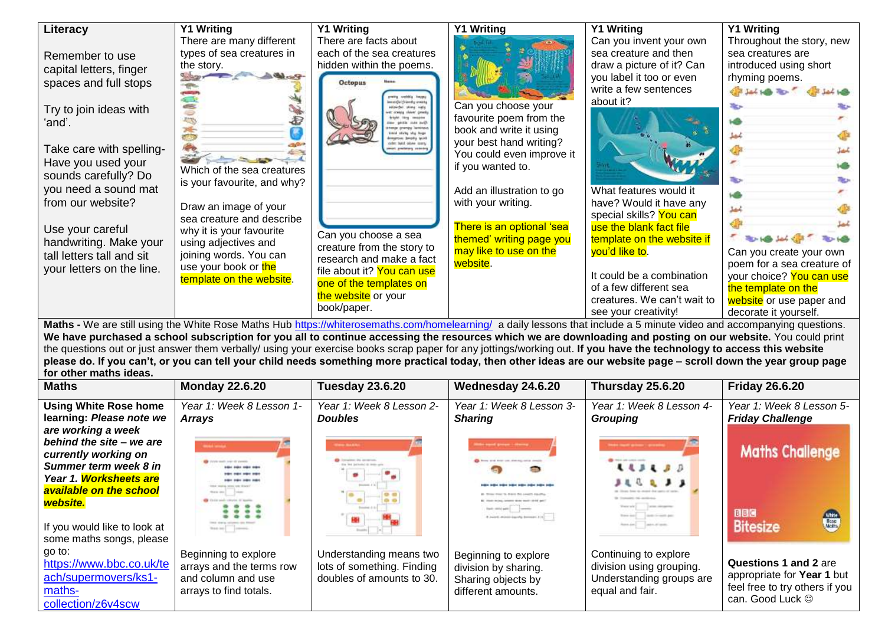| Literacy<br>Remember to use<br>capital letters, finger                           | <b>Y1 Writing</b><br>There are many different<br>types of sea creatures in<br>the story.                      | <b>Y1 Writing</b><br>There are facts about<br>each of the sea creatures<br>hidden within the poems.                                                                           | <b>Y1 Writing</b>                                                                                    | <b>Y1 Writing</b><br>Can you invent your own<br>sea creature and then<br>draw a picture of it? Can                                                         | <b>Y1 Writing</b><br>Throughout the story, new<br>sea creatures are<br>introduced using short                                                                                                                  |
|----------------------------------------------------------------------------------|---------------------------------------------------------------------------------------------------------------|-------------------------------------------------------------------------------------------------------------------------------------------------------------------------------|------------------------------------------------------------------------------------------------------|------------------------------------------------------------------------------------------------------------------------------------------------------------|----------------------------------------------------------------------------------------------------------------------------------------------------------------------------------------------------------------|
| spaces and full stops<br>Try to join ideas with<br>ʻand'.                        |                                                                                                               | <b>Octopus</b><br>imaidelfrenky energ<br>Interbit streg into                                                                                                                  | Can you choose your<br>favourite poem from the                                                       | you label it too or even<br>write a few sentences<br>about it?                                                                                             | rhyming poems.<br><b>CREATER TO</b>                                                                                                                                                                            |
| Take care with spelling-<br>Have you used your<br>sounds carefully? Do           | handless of the same of the color<br>Which of the sea creatures                                               | shirts, she have                                                                                                                                                              | book and write it using<br>your best hand writing?<br>You could even improve it<br>if you wanted to. |                                                                                                                                                            | <b>The A</b>                                                                                                                                                                                                   |
| you need a sound mat<br>from our website?<br>Use your careful                    | is your favourite, and why?<br>Draw an image of your<br>sea creature and describe<br>why it is your favourite |                                                                                                                                                                               | Add an illustration to go<br>with your writing.<br>There is an optional 'sea                         | What features would it<br>have? Would it have any<br>special skills? You can<br>use the blank fact file                                                    |                                                                                                                                                                                                                |
| handwriting. Make your<br>tall letters tall and sit<br>your letters on the line. | using adjectives and<br>joining words. You can<br>use your book or the<br>template on the website.            | Can you choose a sea<br>creature from the story to<br>research and make a fact<br>file about it? You can use<br>one of the templates on<br>the website or your<br>book/paper. | themed' writing page you<br>may like to use on the<br>website.                                       | template on the website if<br>you'd like to.<br>It could be a combination<br>of a few different sea<br>creatures. We can't wait to<br>see your creativity! | <b>REAL FIELD JUNE CORP.</b><br><b>RO-140</b><br>Can you create your own<br>poem for a sea creature of<br>your choice? You can use<br>the template on the<br>website or use paper and<br>decorate it yourself. |

Maths - We are still using the White Rose Maths Hub<https://whiterosemaths.com/homelearning/>a daily lessons that include a 5 minute video and accompanying questions. We have purchased a school subscription for you all to continue accessing the resources which we are downloading and posting on our website. You could print the questions out or just answer them verbally/ using your exercise books scrap paper for any jottings/working out. **If you have the technology to access this website please do. If you can't, or you can tell your child needs something more practical today, then other ideas are our website page – scroll down the year group page for other maths ideas.**

| $\mathbf{v}$ . Vinyi matno kao a<br><b>Maths</b> | <b>Monday 22.6.20</b>     | <b>Tuesday 23.6.20</b>     | Wednesday 24.6.20                           | Thursday 25.6.20                                          | <b>Friday 26.6.20</b>          |
|--------------------------------------------------|---------------------------|----------------------------|---------------------------------------------|-----------------------------------------------------------|--------------------------------|
|                                                  |                           |                            |                                             |                                                           |                                |
| <b>Using White Rose home</b>                     | Year 1: Week 8 Lesson 1-  | Year 1: Week 8 Lesson 2-   | Year 1: Week 8 Lesson 3-                    | Year 1: Week 8 Lesson 4-                                  | Year 1: Week 8 Lesson 5-       |
| learning: Please note we                         | <b>Arrays</b>             | <b>Doubles</b>             | <b>Sharing</b>                              | <b>Grouping</b>                                           | <b>Friday Challenge</b>        |
| are working a week                               |                           |                            |                                             |                                                           |                                |
| behind the site - we are                         |                           | <b>STATE BALLAST</b>       | the said groups : chemy                     | <b><i><u><u> André House de Comme</u>r (1995)</u></i></b> |                                |
| currently working on                             | (to seat) year ity parent |                            | tions and drill can also be contact consti- | <b>REAL-ABS-AMADE COUNT</b>                               | <b>Maths Challenge</b>         |
| Summer term week 8 in                            |                           |                            |                                             | $113130$                                                  |                                |
| Year 1. Worksheets are                           |                           |                            |                                             | $\sqrt{2}$<br><b>DEC</b>                                  |                                |
| <b>available on the school</b>                   |                           |                            |                                             |                                                           |                                |
| website.                                         |                           |                            |                                             | The contractor                                            |                                |
|                                                  | 222                       |                            | If you'd move carried formed 210            | single formation and                                      | <b>BBC</b><br>White<br>William |
| If you would like to look at                     | has an a common           |                            |                                             | Robert Ave., Laker, Missoula.                             | <b>Bitesize</b>                |
| some maths songs, please                         |                           |                            |                                             |                                                           |                                |
| go to:                                           | Beginning to explore      | Understanding means two    | Beginning to explore                        | Continuing to explore                                     |                                |
| https://www.bbc.co.uk/te                         | arrays and the terms row  | lots of something. Finding | division by sharing.                        | division using grouping.                                  | Questions 1 and 2 are          |
| ach/supermovers/ks1-                             | and column and use        | doubles of amounts to 30.  | Sharing objects by                          | Understanding groups are                                  | appropriate for Year 1 but     |
| maths-                                           | arrays to find totals.    |                            | different amounts.                          | equal and fair.                                           | feel free to try others if you |
| collection/z6v4scw                               |                           |                            |                                             |                                                           | can. Good Luck ©               |